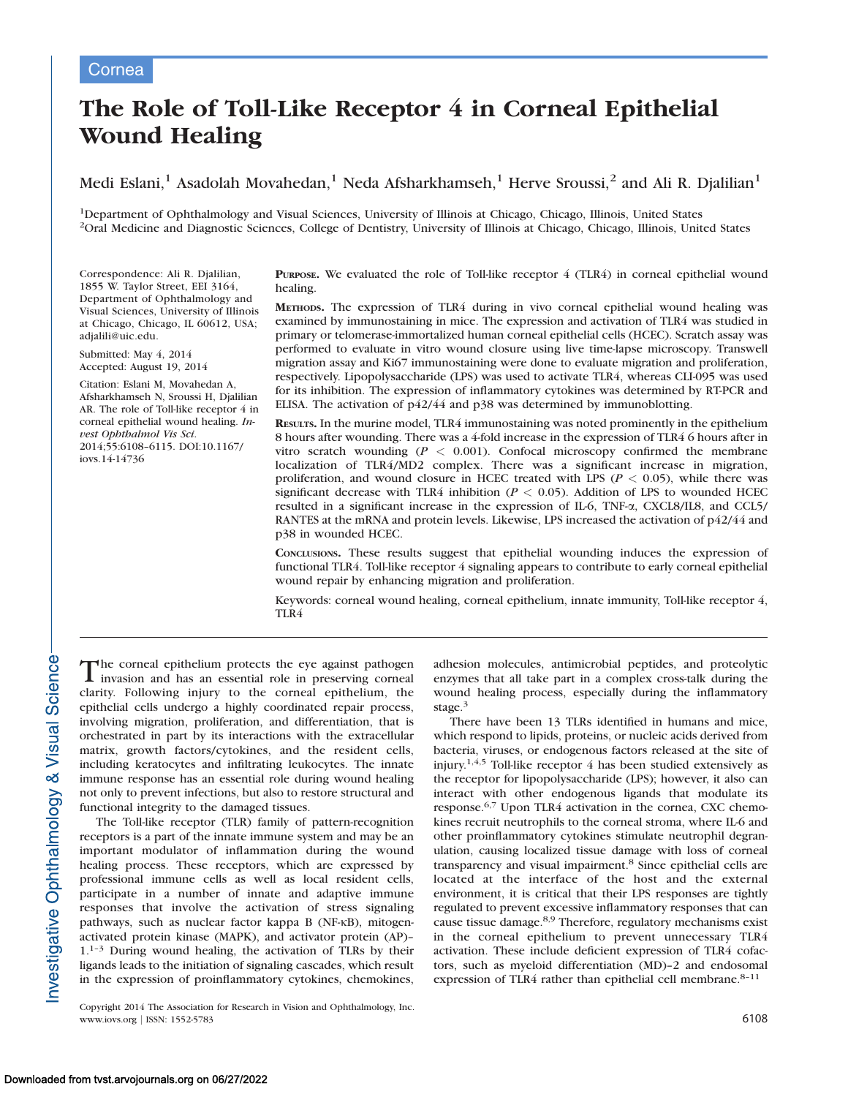# The Role of Toll-Like Receptor 4 in Corneal Epithelial Wound Healing

Medi Eslani,<sup>1</sup> Asadolah Movahedan,<sup>1</sup> Neda Afsharkhamseh,<sup>1</sup> Herve Sroussi,<sup>2</sup> and Ali R. Djalilian<sup>1</sup>

1Department of Ophthalmology and Visual Sciences, University of Illinois at Chicago, Chicago, Illinois, United States <sup>2</sup>Oral Medicine and Diagnostic Sciences, College of Dentistry, University of Illinois at Chicago, Chicago, Illinois, United States

Correspondence: Ali R. Djalilian, 1855 W. Taylor Street, EEI 3164, Department of Ophthalmology and Visual Sciences, University of Illinois at Chicago, Chicago, IL 60612, USA; adjalili@uic.edu.

Submitted: May 4, 2014 Accepted: August 19, 2014

Citation: Eslani M, Movahedan A, Afsharkhamseh N, Sroussi H, Djalilian AR. The role of Toll-like receptor 4 in corneal epithelial wound healing. Invest Ophthalmol Vis Sci. 2014;55:6108–6115. DOI:10.1167/ iovs.14-14736

PURPOSE. We evaluated the role of Toll-like receptor 4 (TLR4) in corneal epithelial wound healing.

METHODS. The expression of TLR4 during in vivo corneal epithelial wound healing was examined by immunostaining in mice. The expression and activation of TLR4 was studied in primary or telomerase-immortalized human corneal epithelial cells (HCEC). Scratch assay was performed to evaluate in vitro wound closure using live time-lapse microscopy. Transwell migration assay and Ki67 immunostaining were done to evaluate migration and proliferation, respectively. Lipopolysaccharide (LPS) was used to activate TLR4, whereas CLI-095 was used for its inhibition. The expression of inflammatory cytokines was determined by RT-PCR and ELISA. The activation of p42/44 and p38 was determined by immunoblotting.

RESULTS. In the murine model, TLR4 immunostaining was noted prominently in the epithelium 8 hours after wounding. There was a 4-fold increase in the expression of TLR4 6 hours after in vitro scratch wounding ( $P < 0.001$ ). Confocal microscopy confirmed the membrane localization of TLR4/MD2 complex. There was a significant increase in migration, proliferation, and wound closure in HCEC treated with LPS ( $P < 0.05$ ), while there was significant decrease with TLR4 inhibition ( $P < 0.05$ ). Addition of LPS to wounded HCEC resulted in a significant increase in the expression of IL-6, TNF-a, CXCL8/IL8, and CCL5/ RANTES at the mRNA and protein levels. Likewise, LPS increased the activation of p42/44 and p38 in wounded HCEC.

CONCLUSIONS. These results suggest that epithelial wounding induces the expression of functional TLR4. Toll-like receptor 4 signaling appears to contribute to early corneal epithelial wound repair by enhancing migration and proliferation.

Keywords: corneal wound healing, corneal epithelium, innate immunity, Toll-like receptor 4, TLR4

The corneal epithelium protects the eye against pathogen invasion and has an essential role in preserving corneal clarity. Following injury to the corneal epithelium, the epithelial cells undergo a highly coordinated repair process, involving migration, proliferation, and differentiation, that is orchestrated in part by its interactions with the extracellular matrix, growth factors/cytokines, and the resident cells, including keratocytes and infiltrating leukocytes. The innate immune response has an essential role during wound healing not only to prevent infections, but also to restore structural and functional integrity to the damaged tissues.

The Toll-like receptor (TLR) family of pattern-recognition receptors is a part of the innate immune system and may be an important modulator of inflammation during the wound healing process. These receptors, which are expressed by professional immune cells as well as local resident cells, participate in a number of innate and adaptive immune responses that involve the activation of stress signaling pathways, such as nuclear factor kappa B (NF-KB), mitogenactivated protein kinase (MAPK), and activator protein (AP)– 1.1–3 During wound healing, the activation of TLRs by their ligands leads to the initiation of signaling cascades, which result in the expression of proinflammatory cytokines, chemokines,

Copyright 2014 The Association for Research in Vision and Ophthalmology, Inc. www.iovs.org | ISSN: 1552-5783 6108

adhesion molecules, antimicrobial peptides, and proteolytic enzymes that all take part in a complex cross-talk during the wound healing process, especially during the inflammatory stage.<sup>3</sup>

There have been 13 TLRs identified in humans and mice, which respond to lipids, proteins, or nucleic acids derived from bacteria, viruses, or endogenous factors released at the site of injury.<sup>1,4,5</sup> Toll-like receptor 4 has been studied extensively as the receptor for lipopolysaccharide (LPS); however, it also can interact with other endogenous ligands that modulate its response.6,7 Upon TLR4 activation in the cornea, CXC chemokines recruit neutrophils to the corneal stroma, where IL-6 and other proinflammatory cytokines stimulate neutrophil degranulation, causing localized tissue damage with loss of corneal transparency and visual impairment.<sup>8</sup> Since epithelial cells are located at the interface of the host and the external environment, it is critical that their LPS responses are tightly regulated to prevent excessive inflammatory responses that can cause tissue damage.8,9 Therefore, regulatory mechanisms exist in the corneal epithelium to prevent unnecessary TLR4 activation. These include deficient expression of TLR4 cofactors, such as myeloid differentiation (MD)–2 and endosomal expression of TLR4 rather than epithelial cell membrane. $8-11$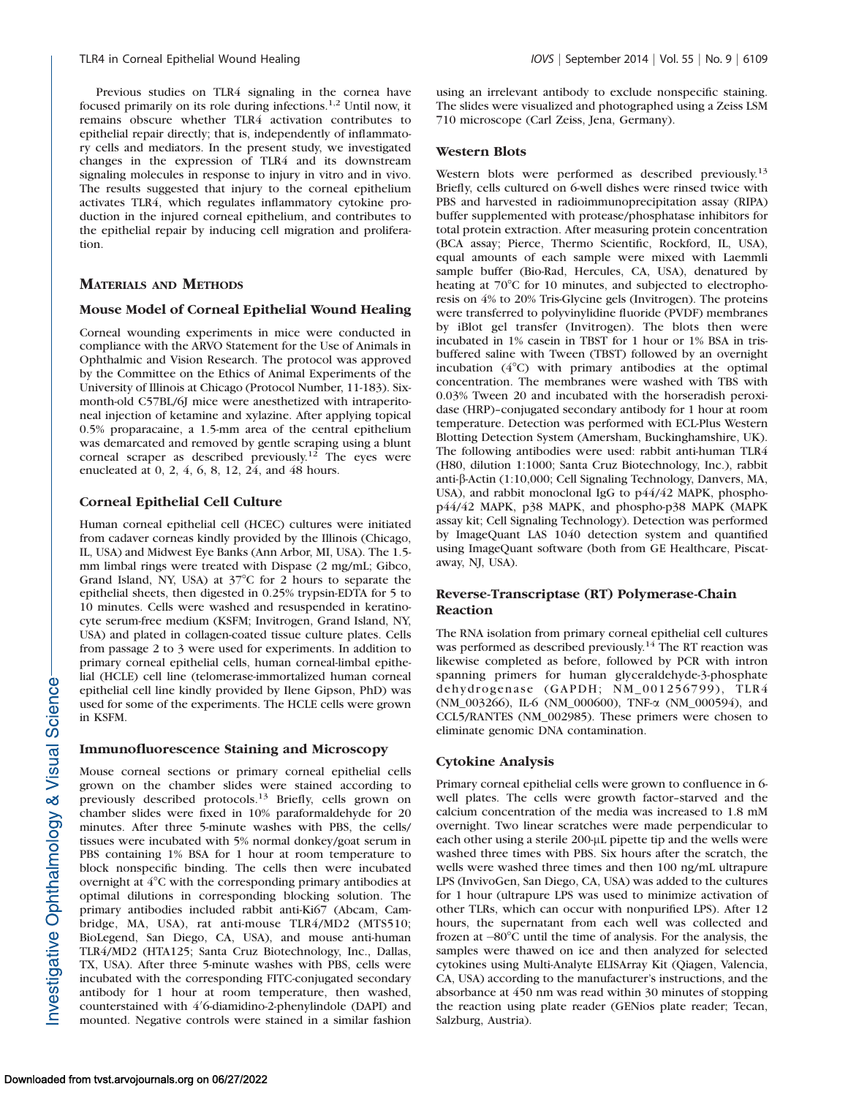Previous studies on TLR4 signaling in the cornea have focused primarily on its role during infections.1,2 Until now, it remains obscure whether TLR4 activation contributes to epithelial repair directly; that is, independently of inflammatory cells and mediators. In the present study, we investigated changes in the expression of TLR4 and its downstream signaling molecules in response to injury in vitro and in vivo. The results suggested that injury to the corneal epithelium activates TLR4, which regulates inflammatory cytokine production in the injured corneal epithelium, and contributes to the epithelial repair by inducing cell migration and proliferation.

# MATERIALS AND METHODS

# Mouse Model of Corneal Epithelial Wound Healing

Corneal wounding experiments in mice were conducted in compliance with the ARVO Statement for the Use of Animals in Ophthalmic and Vision Research. The protocol was approved by the Committee on the Ethics of Animal Experiments of the University of Illinois at Chicago (Protocol Number, 11-183). Sixmonth-old C57BL/6J mice were anesthetized with intraperitoneal injection of ketamine and xylazine. After applying topical 0.5% proparacaine, a 1.5-mm area of the central epithelium was demarcated and removed by gentle scraping using a blunt corneal scraper as described previously.<sup>12</sup> The eyes were enucleated at 0, 2, 4, 6, 8, 12, 24, and 48 hours.

# Corneal Epithelial Cell Culture

Human corneal epithelial cell (HCEC) cultures were initiated from cadaver corneas kindly provided by the Illinois (Chicago, IL, USA) and Midwest Eye Banks (Ann Arbor, MI, USA). The 1.5 mm limbal rings were treated with Dispase (2 mg/mL; Gibco, Grand Island, NY, USA) at  $37^{\circ}$ C for 2 hours to separate the epithelial sheets, then digested in 0.25% trypsin-EDTA for 5 to 10 minutes. Cells were washed and resuspended in keratinocyte serum-free medium (KSFM; Invitrogen, Grand Island, NY, USA) and plated in collagen-coated tissue culture plates. Cells from passage 2 to 3 were used for experiments. In addition to primary corneal epithelial cells, human corneal-limbal epithelial (HCLE) cell line (telomerase-immortalized human corneal epithelial cell line kindly provided by Ilene Gipson, PhD) was used for some of the experiments. The HCLE cells were grown in KSFM.

### Immunofluorescence Staining and Microscopy

Mouse corneal sections or primary corneal epithelial cells grown on the chamber slides were stained according to previously described protocols.<sup>13</sup> Briefly, cells grown on chamber slides were fixed in 10% paraformaldehyde for 20 minutes. After three 5-minute washes with PBS, the cells/ tissues were incubated with 5% normal donkey/goat serum in PBS containing 1% BSA for 1 hour at room temperature to block nonspecific binding. The cells then were incubated overnight at  $4^{\circ}$ C with the corresponding primary antibodies at optimal dilutions in corresponding blocking solution. The primary antibodies included rabbit anti-Ki67 (Abcam, Cambridge, MA, USA), rat anti-mouse TLR4/MD2 (MTS510; BioLegend, San Diego, CA, USA), and mouse anti-human TLR4/MD2 (HTA125; Santa Cruz Biotechnology, Inc., Dallas, TX, USA). After three 5-minute washes with PBS, cells were incubated with the corresponding FITC-conjugated secondary antibody for 1 hour at room temperature, then washed, counterstained with 4'6-diamidino-2-phenylindole (DAPI) and mounted. Negative controls were stained in a similar fashion

using an irrelevant antibody to exclude nonspecific staining. The slides were visualized and photographed using a Zeiss LSM 710 microscope (Carl Zeiss, Jena, Germany).

# Western Blots

Western blots were performed as described previously.<sup>13</sup> Briefly, cells cultured on 6-well dishes were rinsed twice with PBS and harvested in radioimmunoprecipitation assay (RIPA) buffer supplemented with protease/phosphatase inhibitors for total protein extraction. After measuring protein concentration (BCA assay; Pierce, Thermo Scientific, Rockford, IL, USA), equal amounts of each sample were mixed with Laemmli sample buffer (Bio-Rad, Hercules, CA, USA), denatured by heating at  $70^{\circ}$ C for 10 minutes, and subjected to electrophoresis on 4% to 20% Tris-Glycine gels (Invitrogen). The proteins were transferred to polyvinylidine fluoride (PVDF) membranes by iBlot gel transfer (Invitrogen). The blots then were incubated in 1% casein in TBST for 1 hour or 1% BSA in trisbuffered saline with Tween (TBST) followed by an overnight incubation  $(4^{\circ}C)$  with primary antibodies at the optimal concentration. The membranes were washed with TBS with 0.03% Tween 20 and incubated with the horseradish peroxidase (HRP)–conjugated secondary antibody for 1 hour at room temperature. Detection was performed with ECL-Plus Western Blotting Detection System (Amersham, Buckinghamshire, UK). The following antibodies were used: rabbit anti-human TLR4 (H80, dilution 1:1000; Santa Cruz Biotechnology, Inc.), rabbit anti-b-Actin (1:10,000; Cell Signaling Technology, Danvers, MA, USA), and rabbit monoclonal IgG to p44/42 MAPK, phosphop44/42 MAPK, p38 MAPK, and phospho-p38 MAPK (MAPK assay kit; Cell Signaling Technology). Detection was performed by ImageQuant LAS 1040 detection system and quantified using ImageQuant software (both from GE Healthcare, Piscataway, NJ, USA).

# Reverse-Transcriptase (RT) Polymerase-Chain Reaction

The RNA isolation from primary corneal epithelial cell cultures was performed as described previously.<sup>14</sup> The RT reaction was likewise completed as before, followed by PCR with intron spanning primers for human glyceraldehyde-3-phosphate dehydrogenase (GAPDH; NM\_001256799), TLR4 (NM\_003266), IL-6 (NM\_000600), TNF-a (NM\_000594), and CCL5/RANTES (NM\_002985). These primers were chosen to eliminate genomic DNA contamination.

# Cytokine Analysis

Primary corneal epithelial cells were grown to confluence in 6 well plates. The cells were growth factor–starved and the calcium concentration of the media was increased to 1.8 mM overnight. Two linear scratches were made perpendicular to each other using a sterile 200-µL pipette tip and the wells were washed three times with PBS. Six hours after the scratch, the wells were washed three times and then 100 ng/mL ultrapure LPS (InvivoGen, San Diego, CA, USA) was added to the cultures for 1 hour (ultrapure LPS was used to minimize activation of other TLRs, which can occur with nonpurified LPS). After 12 hours, the supernatant from each well was collected and frozen at  $-80^{\circ}$ C until the time of analysis. For the analysis, the samples were thawed on ice and then analyzed for selected cytokines using Multi-Analyte ELISArray Kit (Qiagen, Valencia, CA, USA) according to the manufacturer's instructions, and the absorbance at 450 nm was read within 30 minutes of stopping the reaction using plate reader (GENios plate reader; Tecan, Salzburg, Austria).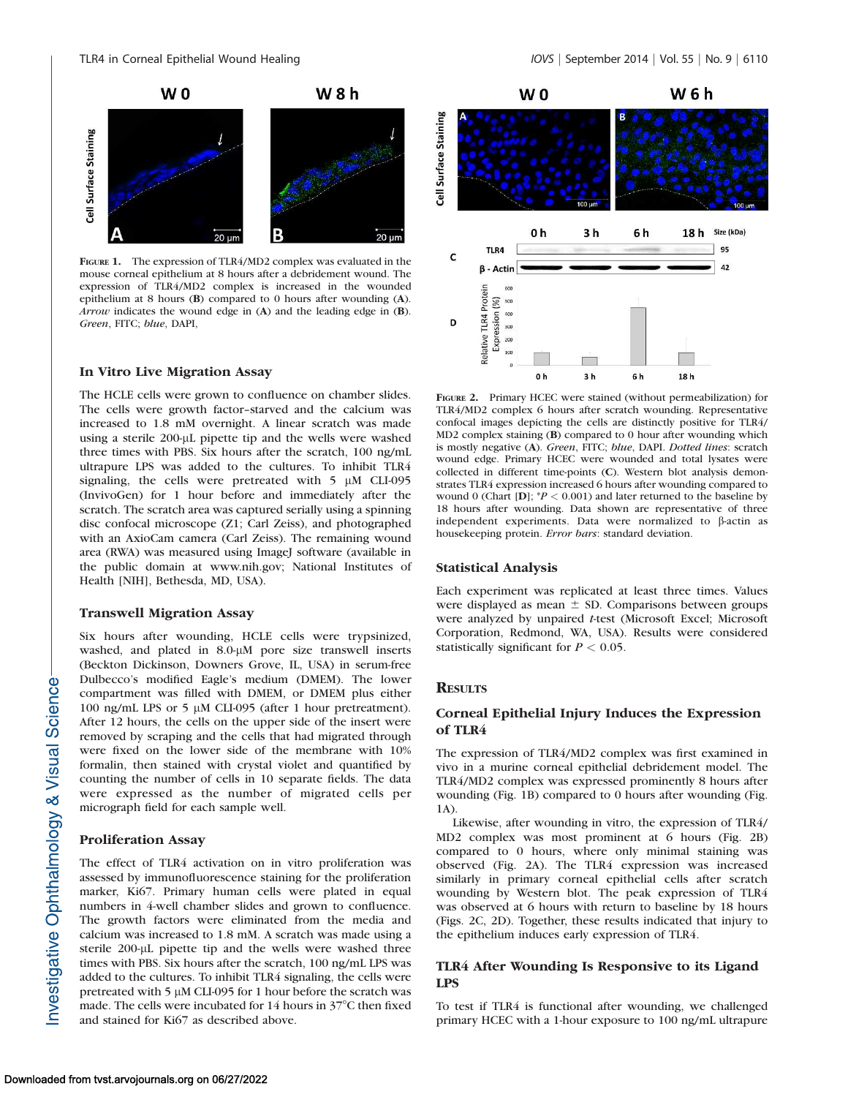

FIGURE 1. The expression of TLR4/MD2 complex was evaluated in the mouse corneal epithelium at 8 hours after a debridement wound. The expression of TLR4/MD2 complex is increased in the wounded epithelium at 8 hours (B) compared to 0 hours after wounding (A). Arrow indicates the wound edge in (A) and the leading edge in (B). Green, FITC; blue, DAPI,

# In Vitro Live Migration Assay

The HCLE cells were grown to confluence on chamber slides. The cells were growth factor–starved and the calcium was increased to 1.8 mM overnight. A linear scratch was made using a sterile 200-µL pipette tip and the wells were washed three times with PBS. Six hours after the scratch, 100 ng/mL ultrapure LPS was added to the cultures. To inhibit TLR4 signaling, the cells were pretreated with  $5 \mu M$  CLI-095 (InvivoGen) for 1 hour before and immediately after the scratch. The scratch area was captured serially using a spinning disc confocal microscope (Z1; Carl Zeiss), and photographed with an AxioCam camera (Carl Zeiss). The remaining wound area (RWA) was measured using ImageJ software (available in the public domain at www.nih.gov; National Institutes of Health [NIH], Bethesda, MD, USA).

#### Transwell Migration Assay

Six hours after wounding, HCLE cells were trypsinized, washed, and plated in 8.0-µM pore size transwell inserts (Beckton Dickinson, Downers Grove, IL, USA) in serum-free Dulbecco's modified Eagle's medium (DMEM). The lower compartment was filled with DMEM, or DMEM plus either 100 ng/mL LPS or 5 μM CLI-095 (after 1 hour pretreatment). After 12 hours, the cells on the upper side of the insert were removed by scraping and the cells that had migrated through were fixed on the lower side of the membrane with 10% formalin, then stained with crystal violet and quantified by counting the number of cells in 10 separate fields. The data were expressed as the number of migrated cells per micrograph field for each sample well.

### Proliferation Assay

The effect of TLR4 activation on in vitro proliferation was assessed by immunofluorescence staining for the proliferation marker, Ki67. Primary human cells were plated in equal numbers in 4-well chamber slides and grown to confluence. The growth factors were eliminated from the media and calcium was increased to 1.8 mM. A scratch was made using a sterile 200-µL pipette tip and the wells were washed three times with PBS. Six hours after the scratch, 100 ng/mL LPS was added to the cultures. To inhibit TLR4 signaling, the cells were pretreated with 5  $\mu$ M CLI-095 for 1 hour before the scratch was made. The cells were incubated for  $14$  hours in  $37^{\circ}$ C then fixed and stained for Ki67 as described above.



FIGURE 2. Primary HCEC were stained (without permeabilization) for TLR4/MD2 complex 6 hours after scratch wounding. Representative confocal images depicting the cells are distinctly positive for TLR4/ MD2 complex staining (B) compared to 0 hour after wounding which is mostly negative (A). Green, FITC; blue, DAPI. Dotted lines: scratch wound edge. Primary HCEC were wounded and total lysates were collected in different time-points (C). Western blot analysis demonstrates TLR4 expression increased 6 hours after wounding compared to wound 0 (Chart [D];  $P < 0.001$ ) and later returned to the baseline by 18 hours after wounding. Data shown are representative of three independent experiments. Data were normalized to  $\beta$ -actin as housekeeping protein. Error bars: standard deviation.

### Statistical Analysis

Each experiment was replicated at least three times. Values were displayed as mean  $\pm$  SD. Comparisons between groups were analyzed by unpaired t-test (Microsoft Excel; Microsoft Corporation, Redmond, WA, USA). Results were considered statistically significant for  $P < 0.05$ .

# **RESULTS**

# Corneal Epithelial Injury Induces the Expression of TLR4

The expression of TLR4/MD2 complex was first examined in vivo in a murine corneal epithelial debridement model. The TLR4/MD2 complex was expressed prominently 8 hours after wounding (Fig. 1B) compared to 0 hours after wounding (Fig. 1A).

Likewise, after wounding in vitro, the expression of TLR4/ MD2 complex was most prominent at 6 hours (Fig. 2B) compared to 0 hours, where only minimal staining was observed (Fig. 2A). The TLR4 expression was increased similarly in primary corneal epithelial cells after scratch wounding by Western blot. The peak expression of TLR4 was observed at 6 hours with return to baseline by 18 hours (Figs. 2C, 2D). Together, these results indicated that injury to the epithelium induces early expression of TLR4.

# TLR4 After Wounding Is Responsive to its Ligand LPS

To test if TLR4 is functional after wounding, we challenged primary HCEC with a 1-hour exposure to 100 ng/mL ultrapure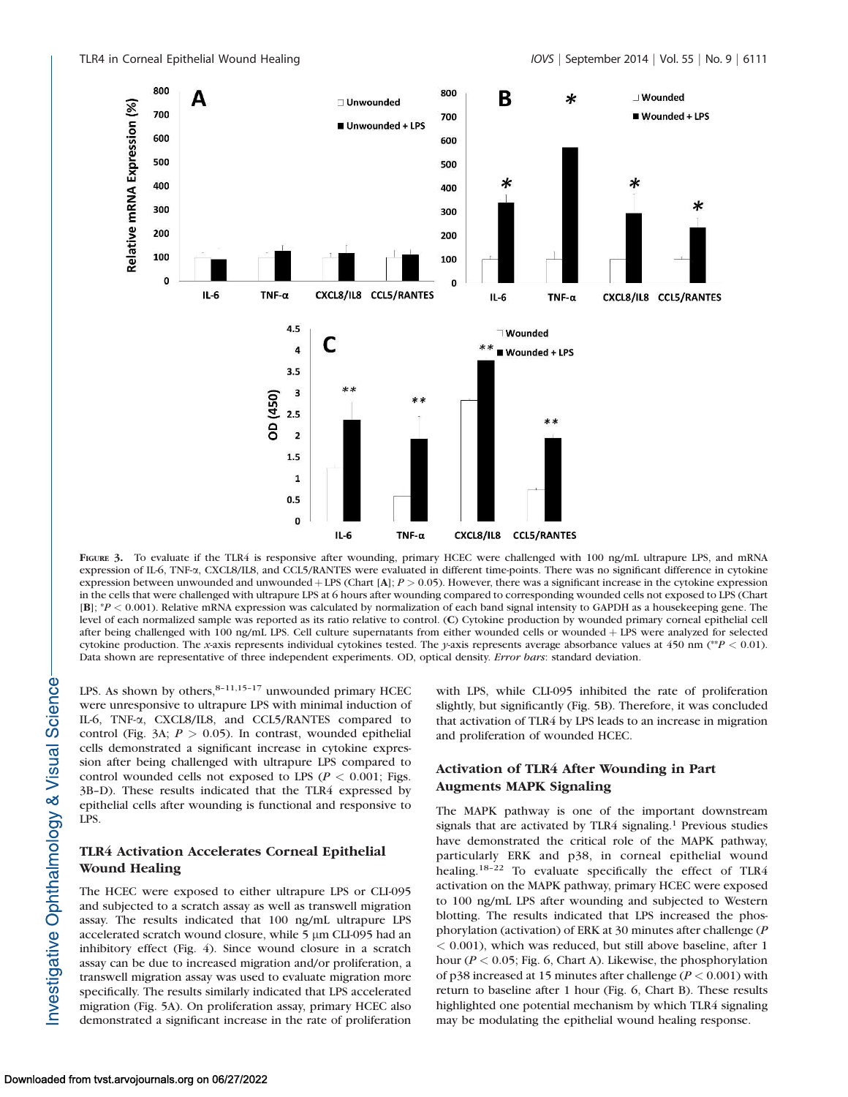

FIGURE 3. To evaluate if the TLR4 is responsive after wounding, primary HCEC were challenged with 100 ng/mL ultrapure LPS, and mRNA expression of IL-6, TNF-a, CXCL8/IL8, and CCL5/RANTES were evaluated in different time-points. There was no significant difference in cytokine expression between unwounded and unwounded  $+$  LPS (Chart [A];  $P > 0.05$ ). However, there was a significant increase in the cytokine expression in the cells that were challenged with ultrapure LPS at 6 hours after wounding compared to corresponding wounded cells not exposed to LPS (Chart  $[B]$ ;  ${}^{\ast}P$  < 0.001). Relative mRNA expression was calculated by normalization of each band signal intensity to GAPDH as a housekeeping gene. The level of each normalized sample was reported as its ratio relative to control. (C) Cytokine production by wounded primary corneal epithelial cell after being challenged with 100 ng/mL LPS. Cell culture supernatants from either wounded cells or wounded + LPS were analyzed for selected cytokine production. The x-axis represents individual cytokines tested. The y-axis represents average absorbance values at 450 nm (\*\*P < 0.01). Data shown are representative of three independent experiments. OD, optical density. Error bars: standard deviation.

LPS. As shown by others, $8-11,15-17$  unwounded primary HCEC were unresponsive to ultrapure LPS with minimal induction of IL-6, TNF-a, CXCL8/IL8, and CCL5/RANTES compared to control (Fig. 3A;  $P > 0.05$ ). In contrast, wounded epithelial cells demonstrated a significant increase in cytokine expression after being challenged with ultrapure LPS compared to control wounded cells not exposed to LPS ( $P < 0.001$ ; Figs. 3B–D). These results indicated that the TLR4 expressed by epithelial cells after wounding is functional and responsive to LPS.

# TLR4 Activation Accelerates Corneal Epithelial Wound Healing

The HCEC were exposed to either ultrapure LPS or CLI-095 and subjected to a scratch assay as well as transwell migration assay. The results indicated that 100 ng/mL ultrapure LPS accelerated scratch wound closure, while 5 µm CLI-095 had an inhibitory effect (Fig. 4). Since wound closure in a scratch assay can be due to increased migration and/or proliferation, a transwell migration assay was used to evaluate migration more specifically. The results similarly indicated that LPS accelerated migration (Fig. 5A). On proliferation assay, primary HCEC also demonstrated a significant increase in the rate of proliferation

with LPS, while CLI-095 inhibited the rate of proliferation slightly, but significantly (Fig. 5B). Therefore, it was concluded that activation of TLR4 by LPS leads to an increase in migration and proliferation of wounded HCEC.

# Activation of TLR4 After Wounding in Part Augments MAPK Signaling

The MAPK pathway is one of the important downstream signals that are activated by TLR4 signaling.<sup>1</sup> Previous studies have demonstrated the critical role of the MAPK pathway, particularly ERK and p38, in corneal epithelial wound healing.<sup>18-22</sup> To evaluate specifically the effect of TLR4 activation on the MAPK pathway, primary HCEC were exposed to 100 ng/mL LPS after wounding and subjected to Western blotting. The results indicated that LPS increased the phosphorylation (activation) of ERK at 30 minutes after challenge (P < 0.001), which was reduced, but still above baseline, after 1 hour ( $P < 0.05$ ; Fig. 6, Chart A). Likewise, the phosphorylation of p38 increased at 15 minutes after challenge ( $P < 0.001$ ) with return to baseline after 1 hour (Fig. 6, Chart B). These results highlighted one potential mechanism by which TLR4 signaling may be modulating the epithelial wound healing response.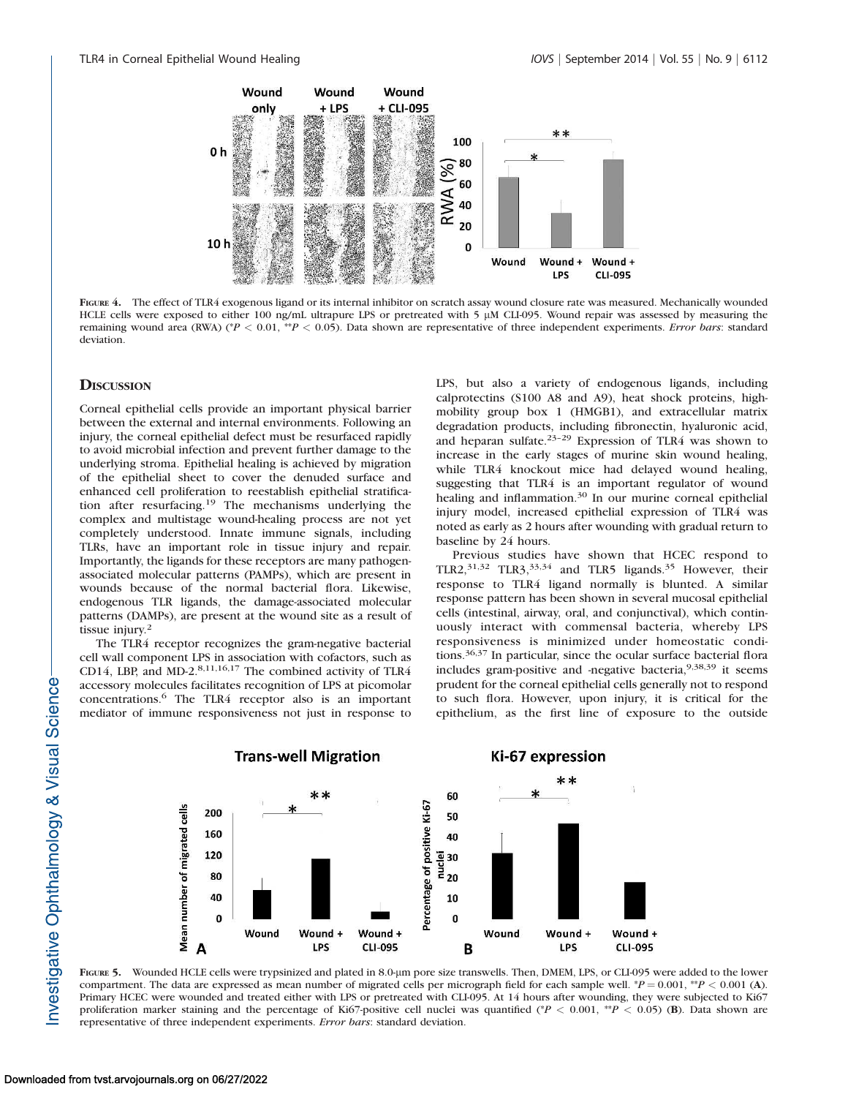

FIGURE 4. The effect of TLR4 exogenous ligand or its internal inhibitor on scratch assay wound closure rate was measured. Mechanically wounded HCLE cells were exposed to either 100 ng/mL ultrapure LPS or pretreated with 5  $\mu$ M CLI-095. Wound repair was assessed by measuring the remaining wound area (RWA) (\*P < 0.01, \*\*P < 0.05). Data shown are representative of three independent experiments. Error bars: standard deviation.

# **DISCUSSION**

Corneal epithelial cells provide an important physical barrier between the external and internal environments. Following an injury, the corneal epithelial defect must be resurfaced rapidly to avoid microbial infection and prevent further damage to the underlying stroma. Epithelial healing is achieved by migration of the epithelial sheet to cover the denuded surface and enhanced cell proliferation to reestablish epithelial stratification after resurfacing.<sup>19</sup> The mechanisms underlying the complex and multistage wound-healing process are not yet completely understood. Innate immune signals, including TLRs, have an important role in tissue injury and repair. Importantly, the ligands for these receptors are many pathogenassociated molecular patterns (PAMPs), which are present in wounds because of the normal bacterial flora. Likewise, endogenous TLR ligands, the damage-associated molecular patterns (DAMPs), are present at the wound site as a result of tissue injury.<sup>2</sup>

The TLR4 receptor recognizes the gram-negative bacterial cell wall component LPS in association with cofactors, such as CD14, LBP, and MD-2.8,11,16,17 The combined activity of TLR4 accessory molecules facilitates recognition of LPS at picomolar concentrations.<sup>6</sup> The TLR4 receptor also is an important mediator of immune responsiveness not just in response to LPS, but also a variety of endogenous ligands, including calprotectins (S100 A8 and A9), heat shock proteins, highmobility group box 1 (HMGB1), and extracellular matrix degradation products, including fibronectin, hyaluronic acid, and heparan sulfate.23–29 Expression of TLR4 was shown to increase in the early stages of murine skin wound healing, while TLR4 knockout mice had delayed wound healing, suggesting that TLR4 is an important regulator of wound healing and inflammation.<sup>30</sup> In our murine corneal epithelial injury model, increased epithelial expression of TLR4 was noted as early as 2 hours after wounding with gradual return to baseline by 24 hours.

Previous studies have shown that HCEC respond to TLR2,<sup>31,32</sup> TLR3,<sup>33,34</sup> and TLR5 ligands.<sup>35</sup> However, their response to TLR4 ligand normally is blunted. A similar response pattern has been shown in several mucosal epithelial cells (intestinal, airway, oral, and conjunctival), which continuously interact with commensal bacteria, whereby LPS responsiveness is minimized under homeostatic conditions.36,37 In particular, since the ocular surface bacterial flora includes gram-positive and -negative bacteria, 9,38,39 it seems prudent for the corneal epithelial cells generally not to respond to such flora. However, upon injury, it is critical for the epithelium, as the first line of exposure to the outside



FIGURE 5. Wounded HCLE cells were trypsinized and plated in 8.0-lm pore size transwells. Then, DMEM, LPS, or CLI-095 were added to the lower compartment. The data are expressed as mean number of migrated cells per micrograph field for each sample well. \* $P = 0.001$ , \*\* $P < 0.001$  (A). Primary HCEC were wounded and treated either with LPS or pretreated with CLI-095. At 14 hours after wounding, they were subjected to Ki67 proliferation marker staining and the percentage of Ki67-positive cell nuclei was quantified ( $P < 0.001$ ,  $P^*P < 0.05$ ) (B). Data shown are representative of three independent experiments. Error bars: standard deviation.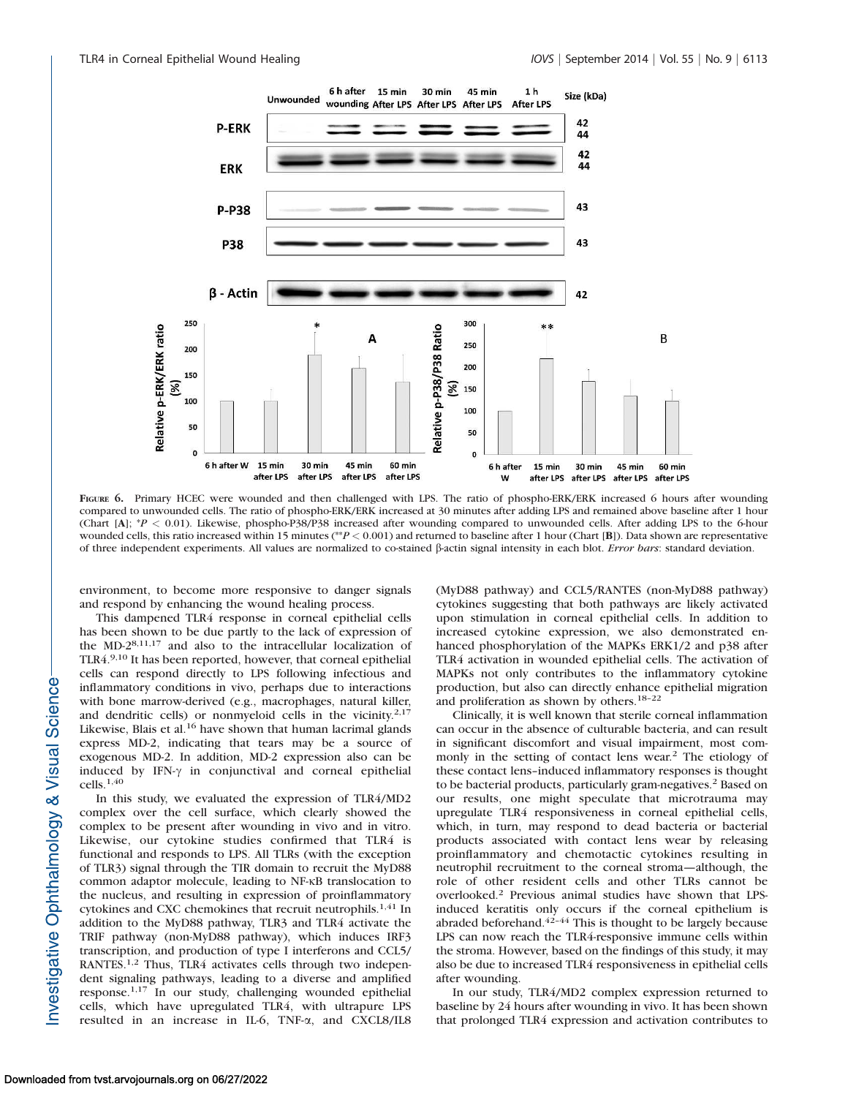

FIGURE 6. Primary HCEC were wounded and then challenged with LPS. The ratio of phospho-ERK/ERK increased 6 hours after wounding compared to unwounded cells. The ratio of phospho-ERK/ERK increased at 30 minutes after adding LPS and remained above baseline after 1 hour (Chart [A]; \*P < 0.01). Likewise, phospho-P38/P38 increased after wounding compared to unwounded cells. After adding LPS to the 6-hour wounded cells, this ratio increased within 15 minutes (\*\*P < 0.001) and returned to baseline after 1 hour (Chart [B]). Data shown are representative of three independent experiments. All values are normalized to co-stained  $\beta$ -actin signal intensity in each blot. Error bars: standard deviation.

environment, to become more responsive to danger signals and respond by enhancing the wound healing process.

This dampened TLR4 response in corneal epithelial cells has been shown to be due partly to the lack of expression of the MD-28,11,17 and also to the intracellular localization of TLR4.9,10 It has been reported, however, that corneal epithelial cells can respond directly to LPS following infectious and inflammatory conditions in vivo, perhaps due to interactions with bone marrow-derived (e.g., macrophages, natural killer, and dendritic cells) or nonmyeloid cells in the vicinity.<sup>2,17</sup> Likewise, Blais et al.<sup>16</sup> have shown that human lacrimal glands express MD-2, indicating that tears may be a source of exogenous MD-2. In addition, MD-2 expression also can be induced by IFN- $\gamma$  in conjunctival and corneal epithelial cells.1,40

In this study, we evaluated the expression of TLR4/MD2 complex over the cell surface, which clearly showed the complex to be present after wounding in vivo and in vitro. Likewise, our cytokine studies confirmed that TLR4 is functional and responds to LPS. All TLRs (with the exception of TLR3) signal through the TIR domain to recruit the MyD88 common adaptor molecule, leading to NF-KB translocation to the nucleus, and resulting in expression of proinflammatory cytokines and CXC chemokines that recruit neutrophils.<sup>1,41</sup> In addition to the MyD88 pathway, TLR3 and TLR4 activate the TRIF pathway (non-MyD88 pathway), which induces IRF3 transcription, and production of type I interferons and CCL5/ RANTES.1,2 Thus, TLR4 activates cells through two independent signaling pathways, leading to a diverse and amplified response.1,17 In our study, challenging wounded epithelial cells, which have upregulated TLR4, with ultrapure LPS resulted in an increase in IL-6, TNF-a, and CXCL8/IL8

(MyD88 pathway) and CCL5/RANTES (non-MyD88 pathway) cytokines suggesting that both pathways are likely activated upon stimulation in corneal epithelial cells. In addition to increased cytokine expression, we also demonstrated enhanced phosphorylation of the MAPKs ERK1/2 and p38 after TLR4 activation in wounded epithelial cells. The activation of MAPKs not only contributes to the inflammatory cytokine production, but also can directly enhance epithelial migration and proliferation as shown by others.18–22

Clinically, it is well known that sterile corneal inflammation can occur in the absence of culturable bacteria, and can result in significant discomfort and visual impairment, most commonly in the setting of contact lens wear.<sup>2</sup> The etiology of these contact lens–induced inflammatory responses is thought to be bacterial products, particularly gram-negatives.<sup>2</sup> Based on our results, one might speculate that microtrauma may upregulate TLR4 responsiveness in corneal epithelial cells, which, in turn, may respond to dead bacteria or bacterial products associated with contact lens wear by releasing proinflammatory and chemotactic cytokines resulting in neutrophil recruitment to the corneal stroma—although, the role of other resident cells and other TLRs cannot be overlooked.<sup>2</sup> Previous animal studies have shown that LPSinduced keratitis only occurs if the corneal epithelium is abraded beforehand. $42-44$  This is thought to be largely because LPS can now reach the TLR4-responsive immune cells within the stroma. However, based on the findings of this study, it may also be due to increased TLR4 responsiveness in epithelial cells after wounding.

In our study, TLR4/MD2 complex expression returned to baseline by 24 hours after wounding in vivo. It has been shown that prolonged TLR4 expression and activation contributes to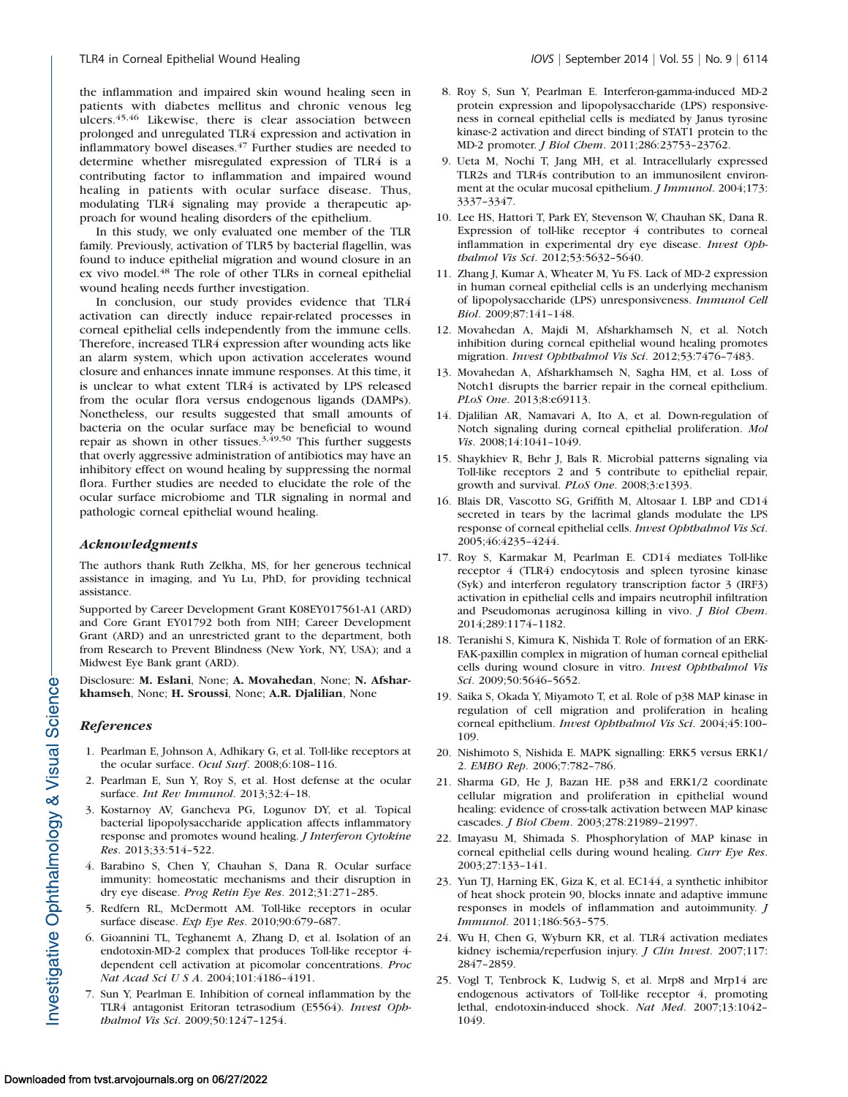the inflammation and impaired skin wound healing seen in patients with diabetes mellitus and chronic venous leg ulcers.45,46 Likewise, there is clear association between prolonged and unregulated TLR4 expression and activation in inflammatory bowel diseases.<sup>47</sup> Further studies are needed to determine whether misregulated expression of TLR4 is a contributing factor to inflammation and impaired wound healing in patients with ocular surface disease. Thus, modulating TLR4 signaling may provide a therapeutic approach for wound healing disorders of the epithelium.

In this study, we only evaluated one member of the TLR family. Previously, activation of TLR5 by bacterial flagellin, was found to induce epithelial migration and wound closure in an ex vivo model.<sup>48</sup> The role of other TLRs in corneal epithelial wound healing needs further investigation.

In conclusion, our study provides evidence that TLR4 activation can directly induce repair-related processes in corneal epithelial cells independently from the immune cells. Therefore, increased TLR4 expression after wounding acts like an alarm system, which upon activation accelerates wound closure and enhances innate immune responses. At this time, it is unclear to what extent TLR4 is activated by LPS released from the ocular flora versus endogenous ligands (DAMPs). Nonetheless, our results suggested that small amounts of bacteria on the ocular surface may be beneficial to wound repair as shown in other tissues.<sup>3,49,50</sup> This further suggests that overly aggressive administration of antibiotics may have an inhibitory effect on wound healing by suppressing the normal flora. Further studies are needed to elucidate the role of the ocular surface microbiome and TLR signaling in normal and pathologic corneal epithelial wound healing.

# Acknowledgments

The authors thank Ruth Zelkha, MS, for her generous technical assistance in imaging, and Yu Lu, PhD, for providing technical assistance.

Supported by Career Development Grant K08EY017561-A1 (ARD) and Core Grant EY01792 both from NIH; Career Development Grant (ARD) and an unrestricted grant to the department, both from Research to Prevent Blindness (New York, NY, USA); and a Midwest Eye Bank grant (ARD).

Disclosure: M. Eslani, None; A. Movahedan, None; N. Afsharkhamseh, None; H. Sroussi, None; A.R. Djalilian, None

# References

- 1. Pearlman E, Johnson A, Adhikary G, et al. Toll-like receptors at the ocular surface. Ocul Surf. 2008;6:108–116.
- 2. Pearlman E, Sun Y, Roy S, et al. Host defense at the ocular surface. Int Rev Immunol. 2013;32:4–18.
- 3. Kostarnoy AV, Gancheva PG, Logunov DY, et al. Topical bacterial lipopolysaccharide application affects inflammatory response and promotes wound healing. *J Interferon Cytokine* Res. 2013;33:514–522.
- 4. Barabino S, Chen Y, Chauhan S, Dana R. Ocular surface immunity: homeostatic mechanisms and their disruption in dry eye disease. Prog Retin Eye Res. 2012;31:271–285.
- 5. Redfern RL, McDermott AM. Toll-like receptors in ocular surface disease. Exp Eye Res. 2010;90:679–687.
- 6. Gioannini TL, Teghanemt A, Zhang D, et al. Isolation of an endotoxin-MD-2 complex that produces Toll-like receptor 4 dependent cell activation at picomolar concentrations. Proc Nat Acad Sci U S A. 2004;101:4186–4191.
- 7. Sun Y, Pearlman E. Inhibition of corneal inflammation by the TLR4 antagonist Eritoran tetrasodium (E5564). Invest Ophthalmol Vis Sci. 2009;50:1247–1254.
- 8. Roy S, Sun Y, Pearlman E. Interferon-gamma-induced MD-2 protein expression and lipopolysaccharide (LPS) responsiveness in corneal epithelial cells is mediated by Janus tyrosine kinase-2 activation and direct binding of STAT1 protein to the MD-2 promoter. J Biol Chem. 2011;286:23753–23762.
- 9. Ueta M, Nochi T, Jang MH, et al. Intracellularly expressed TLR2s and TLR4s contribution to an immunosilent environment at the ocular mucosal epithelium. *J Immunol*. 2004;173: 3337–3347.
- 10. Lee HS, Hattori T, Park EY, Stevenson W, Chauhan SK, Dana R. Expression of toll-like receptor 4 contributes to corneal inflammation in experimental dry eye disease. Invest Ophthalmol Vis Sci. 2012;53:5632–5640.
- 11. Zhang J, Kumar A, Wheater M, Yu FS. Lack of MD-2 expression in human corneal epithelial cells is an underlying mechanism of lipopolysaccharide (LPS) unresponsiveness. Immunol Cell Biol. 2009;87:141–148.
- 12. Movahedan A, Majdi M, Afsharkhamseh N, et al. Notch inhibition during corneal epithelial wound healing promotes migration. Invest Ophthalmol Vis Sci. 2012;53:7476–7483.
- 13. Movahedan A, Afsharkhamseh N, Sagha HM, et al. Loss of Notch1 disrupts the barrier repair in the corneal epithelium. PLoS One. 2013;8:e69113.
- 14. Djalilian AR, Namavari A, Ito A, et al. Down-regulation of Notch signaling during corneal epithelial proliferation. Mol Vis. 2008;14:1041–1049.
- 15. Shaykhiev R, Behr J, Bals R. Microbial patterns signaling via Toll-like receptors 2 and 5 contribute to epithelial repair, growth and survival. PLoS One. 2008;3:e1393.
- 16. Blais DR, Vascotto SG, Griffith M, Altosaar I. LBP and CD14 secreted in tears by the lacrimal glands modulate the LPS response of corneal epithelial cells. Invest Ophthalmol Vis Sci. 2005;46:4235–4244.
- 17. Roy S, Karmakar M, Pearlman E. CD14 mediates Toll-like receptor 4 (TLR4) endocytosis and spleen tyrosine kinase (Syk) and interferon regulatory transcription factor 3 (IRF3) activation in epithelial cells and impairs neutrophil infiltration and Pseudomonas aeruginosa killing in vivo. *J Biol Chem*. 2014;289:1174–1182.
- 18. Teranishi S, Kimura K, Nishida T. Role of formation of an ERK-FAK-paxillin complex in migration of human corneal epithelial cells during wound closure in vitro. Invest Ophthalmol Vis Sci. 2009;50:5646–5652.
- 19. Saika S, Okada Y, Miyamoto T, et al. Role of p38 MAP kinase in regulation of cell migration and proliferation in healing corneal epithelium. Invest Ophthalmol Vis Sci. 2004;45:100– 109.
- 20. Nishimoto S, Nishida E. MAPK signalling: ERK5 versus ERK1/ 2. EMBO Rep. 2006;7:782–786.
- 21. Sharma GD, He J, Bazan HE. p38 and ERK1/2 coordinate cellular migration and proliferation in epithelial wound healing: evidence of cross-talk activation between MAP kinase cascades. J Biol Chem. 2003;278:21989–21997.
- 22. Imayasu M, Shimada S. Phosphorylation of MAP kinase in corneal epithelial cells during wound healing. Curr Eye Res. 2003;27:133–141.
- 23. Yun TJ, Harning EK, Giza K, et al. EC144, a synthetic inhibitor of heat shock protein 90, blocks innate and adaptive immune responses in models of inflammation and autoimmunity. J Immunol. 2011;186:563–575.
- 24. Wu H, Chen G, Wyburn KR, et al. TLR4 activation mediates kidney ischemia/reperfusion injury. J Clin Invest. 2007;117: 2847–2859.
- 25. Vogl T, Tenbrock K, Ludwig S, et al. Mrp8 and Mrp14 are endogenous activators of Toll-like receptor 4, promoting lethal, endotoxin-induced shock. Nat Med. 2007;13:1042– 1049.